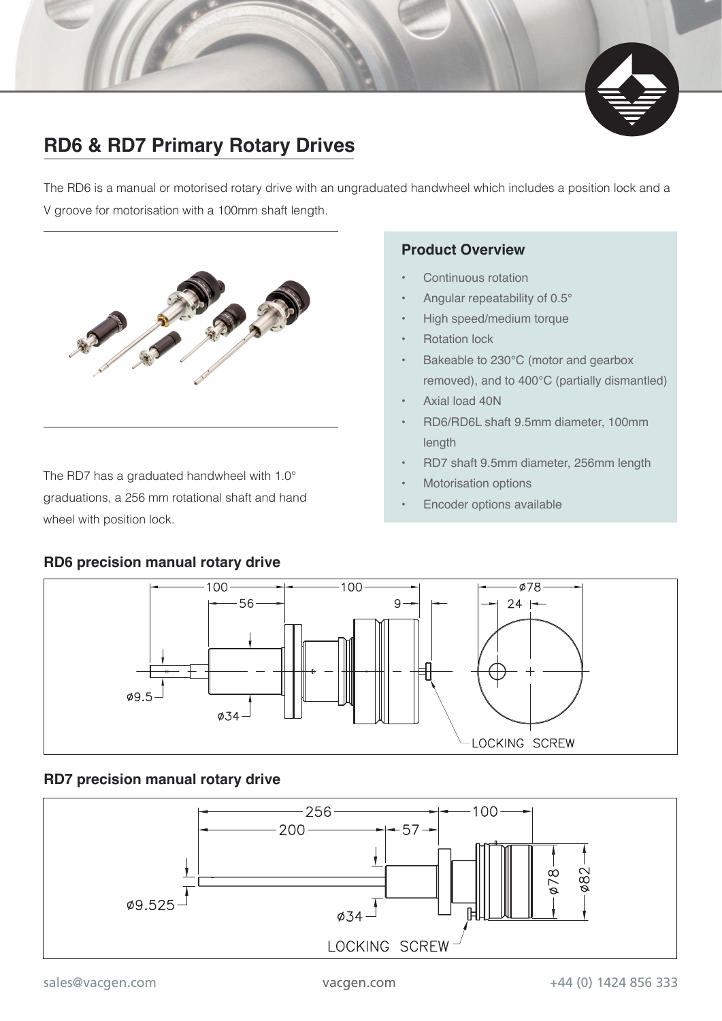### **RD6 & RD7 Primary Rotary Drives**

The RD6 is a manual or motorised rotary drive with an ungraduated handwheel which includes a position lock and a V groove for motorisation with a 100mm shaft length.



The RD7 has a graduated handwheel with 1.0° graduations, a 256 mm rotational shaft and hand wheel with position lock.

#### **Product Overview**

- Continuous rotation
- Angular repeatability of 0.5°
- High speed/medium torque
- Rotation lock
- Bakeable to 230°C (motor and gearbox removed), and to 400°C (partially dismantled)
- Axial load 40N
- RD6/RD6L shaft 9.5mm diameter, 100mm length
- RD7 shaft 9.5mm diameter, 256mm length
- **Motorisation options**
- Encoder options available



## **RD7 precision manual rotary drive**